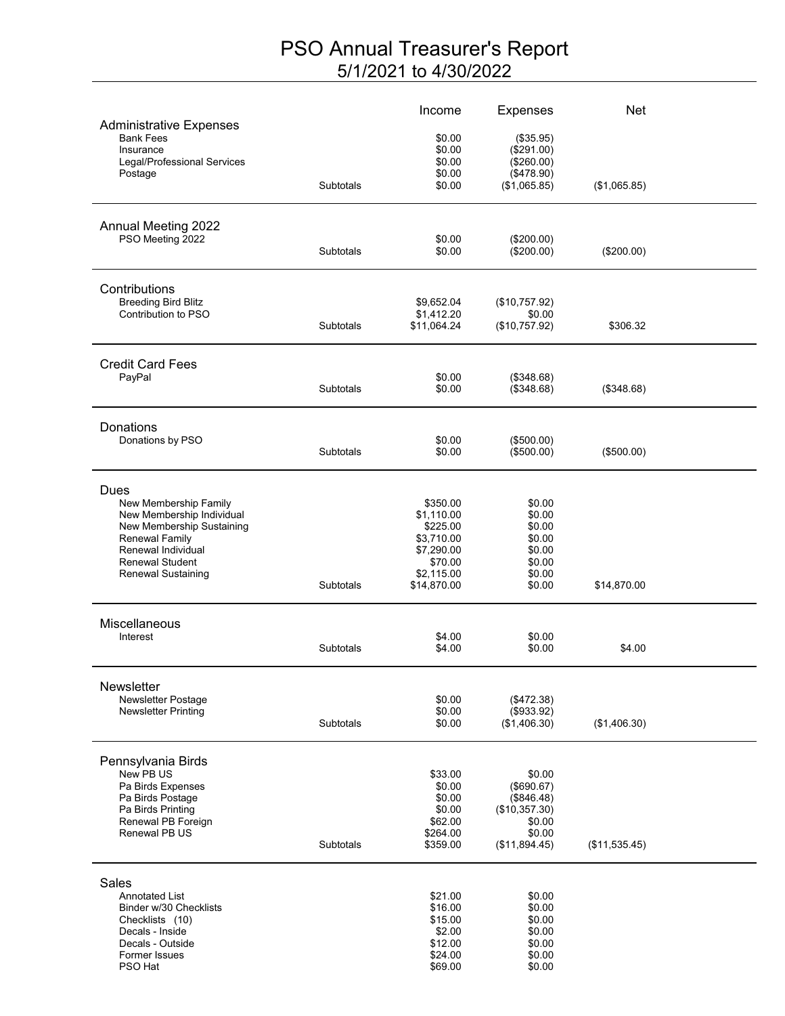## PSO Annual Treasurer's Report 5/1/2021 to 4/30/2022

|                                                                                                                                                                                 |                  | Income                                                                                                 | <b>Expenses</b>                                                                          | Net           |  |
|---------------------------------------------------------------------------------------------------------------------------------------------------------------------------------|------------------|--------------------------------------------------------------------------------------------------------|------------------------------------------------------------------------------------------|---------------|--|
| <b>Administrative Expenses</b><br><b>Bank Fees</b><br>Insurance                                                                                                                 |                  | \$0.00<br>\$0.00<br>\$0.00                                                                             | (\$35.95)<br>(\$291.00)<br>(\$260.00)                                                    |               |  |
| Legal/Professional Services<br>Postage                                                                                                                                          | Subtotals        | \$0.00<br>\$0.00                                                                                       | (\$478.90)<br>(\$1,065.85)                                                               | (\$1,065.85)  |  |
| Annual Meeting 2022<br>PSO Meeting 2022                                                                                                                                         |                  | \$0.00                                                                                                 | (\$200.00)                                                                               |               |  |
|                                                                                                                                                                                 | <b>Subtotals</b> | \$0.00                                                                                                 | (\$200.00)                                                                               | $(\$200.00)$  |  |
| Contributions<br><b>Breeding Bird Blitz</b><br>Contribution to PSO                                                                                                              | <b>Subtotals</b> | \$9,652.04<br>\$1,412.20<br>\$11,064.24                                                                | (\$10,757.92)<br>\$0.00<br>(\$10,757.92)                                                 | \$306.32      |  |
| <b>Credit Card Fees</b><br>PayPal                                                                                                                                               | Subtotals        | \$0.00<br>\$0.00                                                                                       | (\$348.68)<br>(\$348.68)                                                                 | (\$348.68)    |  |
|                                                                                                                                                                                 |                  |                                                                                                        |                                                                                          |               |  |
| Donations<br>Donations by PSO                                                                                                                                                   | Subtotals        | \$0.00<br>\$0.00                                                                                       | (\$500.00)<br>(\$500.00)                                                                 | (\$500.00)    |  |
| Dues<br>New Membership Family<br>New Membership Individual<br>New Membership Sustaining<br>Renewal Family<br>Renewal Individual<br><b>Renewal Student</b><br>Renewal Sustaining | <b>Subtotals</b> | \$350.00<br>\$1,110.00<br>\$225.00<br>\$3,710.00<br>\$7,290.00<br>\$70.00<br>\$2,115.00<br>\$14,870.00 | \$0.00<br>\$0.00<br>\$0.00<br>\$0.00<br>\$0.00<br>\$0.00<br>\$0.00<br>\$0.00             | \$14,870.00   |  |
| Miscellaneous<br>Interest                                                                                                                                                       | Subtotals        | \$4.00<br>\$4.00                                                                                       | \$0.00<br>\$0.00                                                                         | \$4.00        |  |
| Newsletter<br>Newsletter Postage<br><b>Newsletter Printing</b>                                                                                                                  | Subtotals        | \$0.00<br>\$0.00<br>\$0.00                                                                             | (\$472.38)<br>(\$933.92)<br>(\$1,406.30)                                                 | (\$1,406.30)  |  |
| Pennsylvania Birds<br>New PB US<br>Pa Birds Expenses<br>Pa Birds Postage<br>Pa Birds Printing<br>Renewal PB Foreign<br>Renewal PB US                                            | Subtotals        | \$33.00<br>\$0.00<br>\$0.00<br>\$0.00<br>\$62.00<br>\$264.00<br>\$359.00                               | \$0.00<br>(\$690.67)<br>(\$846.48)<br>(\$10,357.30)<br>\$0.00<br>\$0.00<br>(\$11,894.45) | (\$11,535.45) |  |
| Sales<br><b>Annotated List</b><br>Binder w/30 Checklists<br>Checklists (10)<br>Decals - Inside<br>Decals - Outside<br>Former Issues<br>PSO Hat                                  |                  | \$21.00<br>\$16.00<br>\$15.00<br>\$2.00<br>\$12.00<br>\$24.00<br>\$69.00                               | \$0.00<br>\$0.00<br>\$0.00<br>\$0.00<br>\$0.00<br>\$0.00<br>\$0.00                       |               |  |